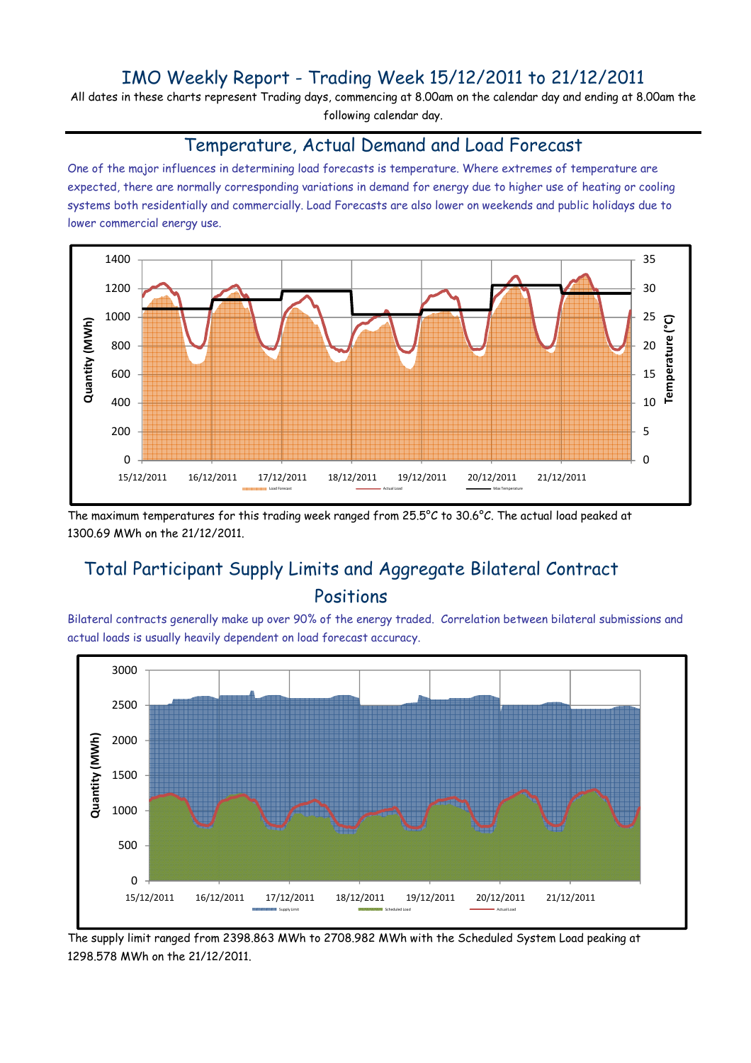## IMO Weekly Report - Trading Week 15/12/2011 to 21/12/2011

All dates in these charts represent Trading days, commencing at 8.00am on the calendar day and ending at 8.00am the following calendar day.

#### Temperature, Actual Demand and Load Forecast

One of the major influences in determining load forecasts is temperature. Where extremes of temperature are expected, there are normally corresponding variations in demand for energy due to higher use of heating or cooling systems both residentially and commercially. Load Forecasts are also lower on weekends and public holidays due to lower commercial energy use.



The maximum temperatures for this trading week ranged from 25.5°C to 30.6°C. The actual load peaked at 1300.69 MWh on the 21/12/2011.

# Total Participant Supply Limits and Aggregate Bilateral Contract Positions

Bilateral contracts generally make up over 90% of the energy traded. Correlation between bilateral submissions and actual loads is usually heavily dependent on load forecast accuracy.



The supply limit ranged from 2398.863 MWh to 2708.982 MWh with the Scheduled System Load peaking at 1298.578 MWh on the 21/12/2011.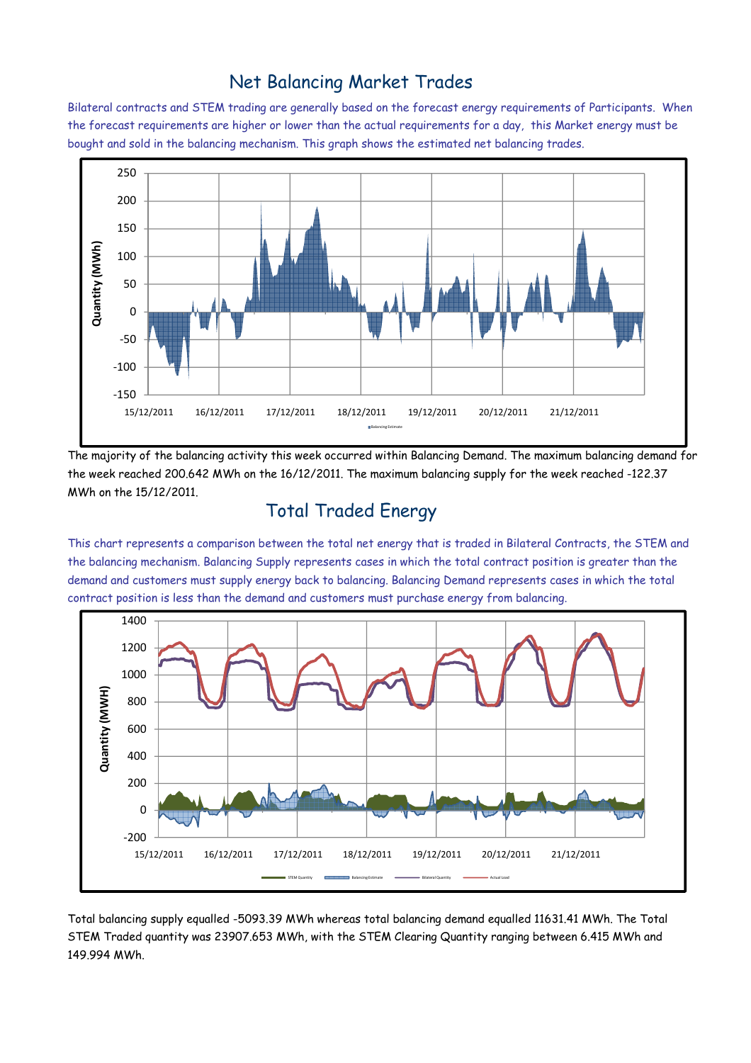### Net Balancing Market Trades

Bilateral contracts and STEM trading are generally based on the forecast energy requirements of Participants. When the forecast requirements are higher or lower than the actual requirements for a day, this Market energy must be bought and sold in the balancing mechanism. This graph shows the estimated net balancing trades.



The majority of the balancing activity this week occurred within Balancing Demand. The maximum balancing demand for the week reached 200.642 MWh on the 16/12/2011. The maximum balancing supply for the week reached -122.37 MWh on the 15/12/2011.

# Total Traded Energy

This chart represents a comparison between the total net energy that is traded in Bilateral Contracts, the STEM and the balancing mechanism. Balancing Supply represents cases in which the total contract position is greater than the demand and customers must supply energy back to balancing. Balancing Demand represents cases in which the total contract position is less than the demand and customers must purchase energy from balancing.



Total balancing supply equalled -5093.39 MWh whereas total balancing demand equalled 11631.41 MWh. The Total STEM Traded quantity was 23907.653 MWh, with the STEM Clearing Quantity ranging between 6.415 MWh and 149.994 MWh.